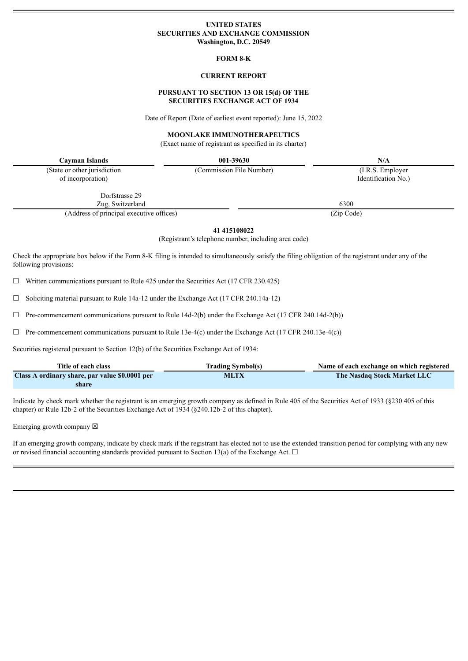## **UNITED STATES SECURITIES AND EXCHANGE COMMISSION Washington, D.C. 20549**

#### **FORM 8-K**

## **CURRENT REPORT**

## **PURSUANT TO SECTION 13 OR 15(d) OF THE SECURITIES EXCHANGE ACT OF 1934**

Date of Report (Date of earliest event reported): June 15, 2022

# **MOONLAKE IMMUNOTHERAPEUTICS**

(Exact name of registrant as specified in its charter)

**Cayman Islands 001-39630 N/A**

(State or other jurisdiction (Commission File Number) (I.R.S. Employer of incorporation) Identification No.

Dorfstrasse 29

Zug, Switzerland 6300 (Address of principal executive offices) (Zip Code)

**41 415108022**

(Registrant's telephone number, including area code)

Check the appropriate box below if the Form 8-K filing is intended to simultaneously satisfy the filing obligation of the registrant under any of the following provisions:

 $\Box$  Written communications pursuant to Rule 425 under the Securities Act (17 CFR 230.425)

☐ Soliciting material pursuant to Rule 14a-12 under the Exchange Act (17 CFR 240.14a-12)

 $\Box$  Pre-commencement communications pursuant to Rule 14d-2(b) under the Exchange Act (17 CFR 240.14d-2(b))

 $\Box$  Pre-commencement communications pursuant to Rule 13e-4(c) under the Exchange Act (17 CFR 240.13e-4(c))

Securities registered pursuant to Section 12(b) of the Securities Exchange Act of 1934:

| Title of each class                            | <b>Trading Symbol(s)</b> | Name of each exchange on which registered |
|------------------------------------------------|--------------------------|-------------------------------------------|
| Class A ordinary share, par value \$0.0001 per | <b>MLTX</b>              | The Nasdaq Stock Market LLC               |
| share                                          |                          |                                           |

Indicate by check mark whether the registrant is an emerging growth company as defined in Rule 405 of the Securities Act of 1933 (§230.405 of this chapter) or Rule 12b-2 of the Securities Exchange Act of 1934 (§240.12b-2 of this chapter).

Emerging growth company  $\boxtimes$ 

If an emerging growth company, indicate by check mark if the registrant has elected not to use the extended transition period for complying with any new or revised financial accounting standards provided pursuant to Section 13(a) of the Exchange Act.  $\Box$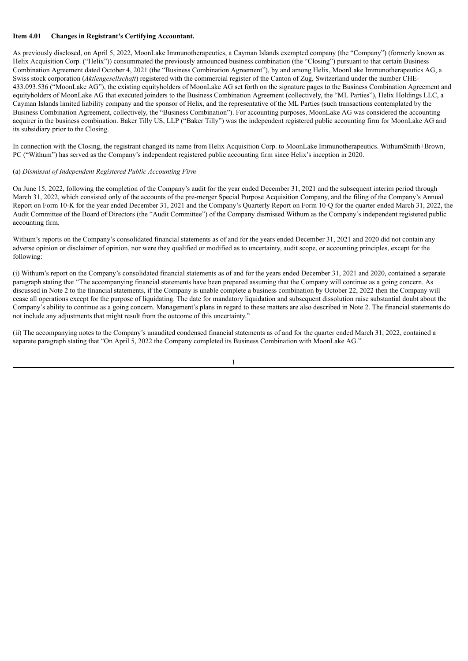#### **Item 4.01 Changes in Registrant's Certifying Accountant.**

As previously disclosed, on April 5, 2022, MoonLake Immunotherapeutics, a Cayman Islands exempted company (the "Company") (formerly known as Helix Acquisition Corp. ("Helix")) consummated the previously announced business combination (the "Closing") pursuant to that certain Business Combination Agreement dated October 4, 2021 (the "Business Combination Agreement"), by and among Helix, MoonLake Immunotherapeutics AG, a Swiss stock corporation (*Aktiengesellschaft*) registered with the commercial register of the Canton of Zug, Switzerland under the number CHE-433.093.536 ("MoonLake AG"), the existing equityholders of MoonLake AG set forth on the signature pages to the Business Combination Agreement and equityholders of MoonLake AG that executed joinders to the Business Combination Agreement (collectively, the "ML Parties"), Helix Holdings LLC, a Cayman Islands limited liability company and the sponsor of Helix, and the representative of the ML Parties (such transactions contemplated by the Business Combination Agreement, collectively, the "Business Combination"). For accounting purposes, MoonLake AG was considered the accounting acquirer in the business combination. Baker Tilly US, LLP ("Baker Tilly") was the independent registered public accounting firm for MoonLake AG and its subsidiary prior to the Closing.

In connection with the Closing, the registrant changed its name from Helix Acquisition Corp. to MoonLake Immunotherapeutics. WithumSmith+Brown, PC ("Withum") has served as the Company's independent registered public accounting firm since Helix's inception in 2020.

#### (a) *Dismissal of Independent Registered Public Accounting Firm*

On June 15, 2022, following the completion of the Company's audit for the year ended December 31, 2021 and the subsequent interim period through March 31, 2022, which consisted only of the accounts of the pre-merger Special Purpose Acquisition Company, and the filing of the Company's Annual Report on Form 10-K for the year ended December 31, 2021 and the Company's Quarterly Report on Form 10-Q for the quarter ended March 31, 2022, the Audit Committee of the Board of Directors (the "Audit Committee") of the Company dismissed Withum as the Company's independent registered public accounting firm.

Withum's reports on the Company's consolidated financial statements as of and for the years ended December 31, 2021 and 2020 did not contain any adverse opinion or disclaimer of opinion, nor were they qualified or modified as to uncertainty, audit scope, or accounting principles, except for the following:

(i) Withum's report on the Company's consolidated financial statements as of and for the years ended December 31, 2021 and 2020, contained a separate paragraph stating that "The accompanying financial statements have been prepared assuming that the Company will continue as a going concern. As discussed in Note 2 to the financial statements, if the Company is unable complete a business combination by October 22, 2022 then the Company will cease all operations except for the purpose of liquidating. The date for mandatory liquidation and subsequent dissolution raise substantial doubt about the Company's ability to continue as a going concern. Management's plans in regard to these matters are also described in Note 2. The financial statements do not include any adjustments that might result from the outcome of this uncertainty."

(ii) The accompanying notes to the Company's unaudited condensed financial statements as of and for the quarter ended March 31, 2022, contained a separate paragraph stating that "On April 5, 2022 the Company completed its Business Combination with MoonLake AG."

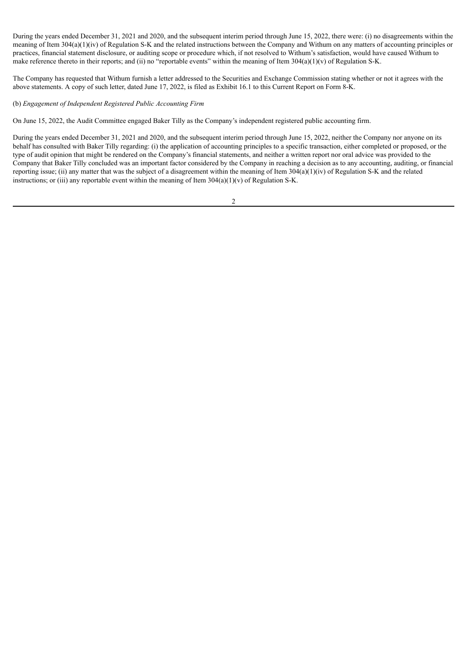During the years ended December 31, 2021 and 2020, and the subsequent interim period through June 15, 2022, there were: (i) no disagreements within the meaning of Item 304(a)(1)(iv) of Regulation S-K and the related instructions between the Company and Withum on any matters of accounting principles or practices, financial statement disclosure, or auditing scope or procedure which, if not resolved to Withum's satisfaction, would have caused Withum to make reference thereto in their reports; and (ii) no "reportable events" within the meaning of Item  $304(a)(1)(v)$  of Regulation S-K.

The Company has requested that Withum furnish a letter addressed to the Securities and Exchange Commission stating whether or not it agrees with the above statements. A copy of such letter, dated June 17, 2022, is filed as Exhibit 16.1 to this Current Report on Form 8-K.

#### (b) *Engagement of Independent Registered Public Accounting Firm*

On June 15, 2022, the Audit Committee engaged Baker Tilly as the Company's independent registered public accounting firm.

During the years ended December 31, 2021 and 2020, and the subsequent interim period through June 15, 2022, neither the Company nor anyone on its behalf has consulted with Baker Tilly regarding: (i) the application of accounting principles to a specific transaction, either completed or proposed, or the type of audit opinion that might be rendered on the Company's financial statements, and neither a written report nor oral advice was provided to the Company that Baker Tilly concluded was an important factor considered by the Company in reaching a decision as to any accounting, auditing, or financial reporting issue; (ii) any matter that was the subject of a disagreement within the meaning of Item  $304(a)(1)(iv)$  of Regulation S-K and the related instructions; or (iii) any reportable event within the meaning of Item  $304(a)(1)(v)$  of Regulation S-K.

2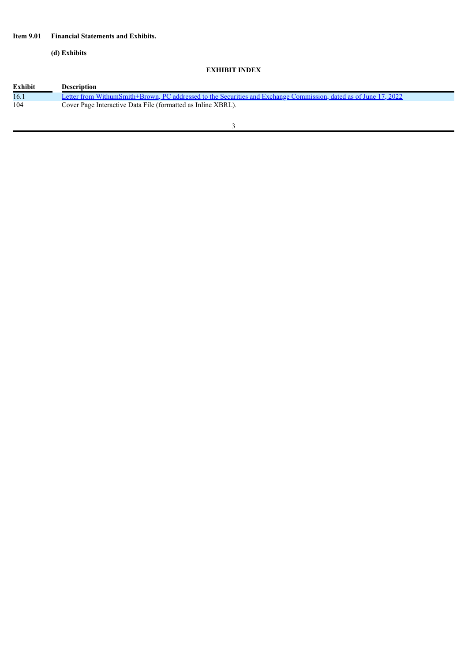# **Item 9.01 Financial Statements and Exhibits.**

**(d) Exhibits**

# **EXHIBIT INDEX**

| <b>Exhibit</b> | <b>Description</b>                                                                                               |  |
|----------------|------------------------------------------------------------------------------------------------------------------|--|
| 16.1           | Letter from WithumSmith+Brown, PC addressed to the Securities and Exchange Commission, dated as of June 17, 2022 |  |
| 104            | Cover Page Interactive Data File (formatted as Inline XBRL).                                                     |  |
|                |                                                                                                                  |  |
|                |                                                                                                                  |  |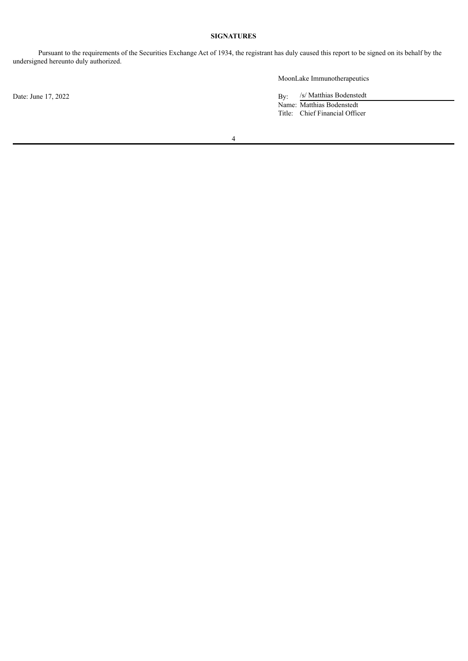# **SIGNATURES**

Pursuant to the requirements of the Securities Exchange Act of 1934, the registrant has duly caused this report to be signed on its behalf by the undersigned hereunto duly authorized.

Date: June 17, 2022 By:

MoonLake Immunotherapeutics

/s/ Matthias Bodenstedt Name: Matthias Bodenstedt Title: Chief Financial Officer